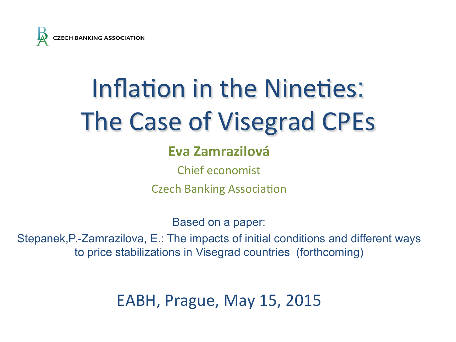

# Inflation in the Nineties: The Case of Visegrad CPEs

### **Eva Zamrazilová**

Chief economist

**Czech Banking Association** 

Based on a paper:

Stepanek,P.-Zamrazilova, E.: The impacts of initial conditions and different ways to price stabilizations in Visegrad countries (forthcoming)

EABH, Prague, May 15, 2015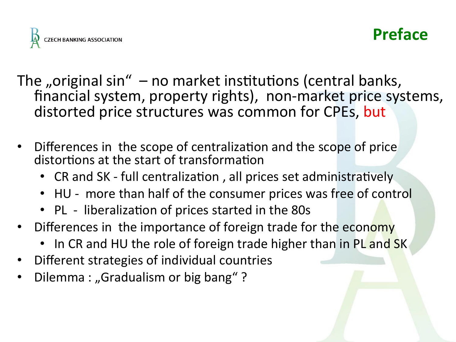

### **Preface**

The "original  $sin'' - no$  market institutions (central banks, financial system, property rights), non-market price systems, distorted price structures was common for CPEs, but

- Differences in the scope of centralization and the scope of price distortions at the start of transformation
	- CR and SK full centralization, all prices set administratively
	- HU more than half of the consumer prices was free of control
	- PL liberalization of prices started in the 80s
- Differences in the importance of foreign trade for the economy
	- In CR and HU the role of foreign trade higher than in PL and SK
- Different strategies of individual countries
- Dilemma : "Gradualism or big bang"?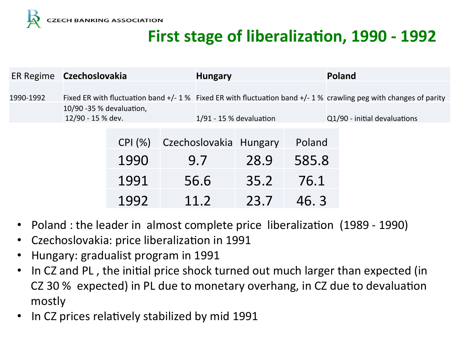

## **First stage of liberalization, 1990 - 1992**

|           | ER Regime Czechoslovakia                                                                                            |        |                           | <b>Hungary</b> |                        |                              | Poland |  |
|-----------|---------------------------------------------------------------------------------------------------------------------|--------|---------------------------|----------------|------------------------|------------------------------|--------|--|
|           |                                                                                                                     |        |                           |                |                        |                              |        |  |
| 1990-1992 | Fixed ER with fluctuation band $+/-1$ % Fixed ER with fluctuation band $+/-1$ % crawling peg with changes of parity |        |                           |                |                        |                              |        |  |
|           | 10/90 -35 % devaluation,                                                                                            |        |                           |                |                        |                              |        |  |
|           | 12/90 - 15 % dev.                                                                                                   |        | $1/91 - 15$ % devaluation |                |                        | Q1/90 - initial devaluations |        |  |
|           |                                                                                                                     |        |                           |                |                        |                              |        |  |
|           |                                                                                                                     | CPI(%) |                           |                | Czechoslovakia Hungary | Poland                       |        |  |
|           |                                                                                                                     | 1990   | 9.7                       |                | 28.9                   | 585.8                        |        |  |
|           |                                                                                                                     | 1991   |                           | 56.6           | 35.2                   | 76.1                         |        |  |
|           |                                                                                                                     | 1992   |                           | 11 2           | 23.7                   | 46.3                         |        |  |

- Poland : the leader in almost complete price liberalization (1989 1990)
- Czechoslovakia: price liberalization in 1991
- Hungary: gradualist program in 1991
- In CZ and PL, the initial price shock turned out much larger than expected (in CZ 30 % expected) in PL due to monetary overhang, in CZ due to devaluation mostly
- In CZ prices relatively stabilized by mid 1991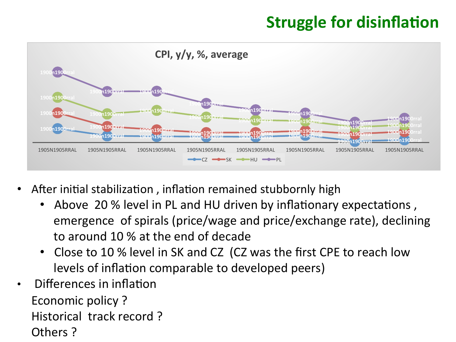### **Struggle for disinflation**



- After initial stabilization, inflation remained stubbornly high
	- Above 20 % level in PL and HU driven by inflationary expectations, emergence of spirals (price/wage and price/exchange rate), declining to around 10 % at the end of decade
	- Close to 10 % level in SK and CZ (CZ was the first CPE to reach low levels of inflation comparable to developed peers)
- Differences in inflation Economic policy? Historical track record? Others?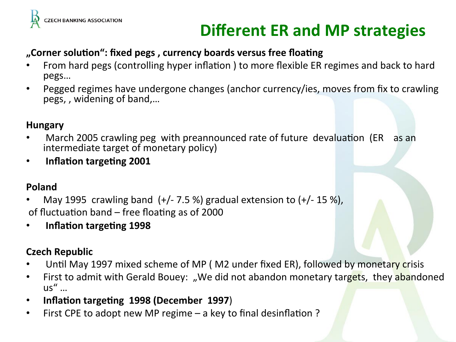

## **Different ER and MP strategies**

#### **"**Corner solution": fixed pegs, currency boards versus free floating

- From hard pegs (controlling hyper inflation) to more flexible ER regimes and back to hard pegs…
- Pegged regimes have undergone changes (anchor currency/ies, moves from fix to crawling pegs,, widening of band,...

#### **Hungary**

- March 2005 crawling peg with preannounced rate of future devaluation (ER as an intermediate target of monetary policy)
- **•** Inflation targeting 2001

#### **Poland**

- May 1995 crawling band  $(+/- 7.5%)$  gradual extension to  $(+/- 15%)$ , of fluctuation band  $-$  free floating as of 2000
- **Inflation targeting 1998**

#### **Czech Republic**

- Until May 1997 mixed scheme of MP (M2 under fixed ER), followed by monetary crisis
- First to admit with Gerald Bouey: "We did not abandon monetary targets, they abandoned  $US''$  ...
- Inflation targeting 1998 (December 1997)
- First CPE to adopt new MP regime  $-$  a key to final desinflation ?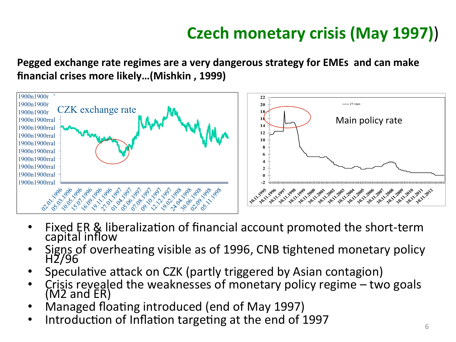# **Czech monetary crisis (May 1997))**

**Pegged exchange rate regimes are a very dangerous strategy for EMEs and can make** financial crises more likely...(Mishkin, 1999)



- Fixed ER & liberalization of financial account promoted the short-term capital inflow
- Signs of overheating visible as of 1996, CNB tightened monetary policy<br>H2/96
- Speculative attack on CZK (partly triggered by Asian contagion)
- Crisis revealed the weaknesses of monetary policy regime  $-$  two goals  $(M2 \text{ and } \widetilde{\text{ER}})$
- Managed floating introduced (end of May 1997)
- Introduction of Inflation targeting at the end of 1997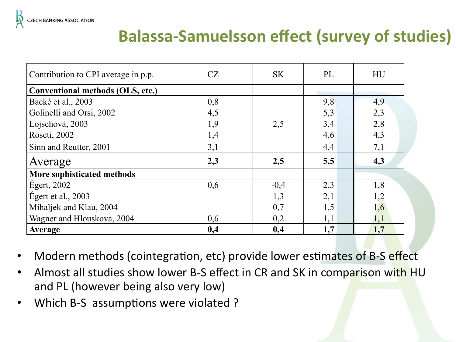

### **Balassa-Samuelsson effect (survey of studies)**

| Contribution to CPI average in p.p. | CZ  | <b>SK</b> | PL  | HU  |
|-------------------------------------|-----|-----------|-----|-----|
| Conventional methods (OLS, etc.)    |     |           |     |     |
| Backé et al., 2003                  | 0,8 |           | 9,8 | 4,9 |
| Golinelli and Orsi, 2002            | 4,5 |           | 5,3 | 2,3 |
| Lojschová, 2003                     | 1,9 | 2,5       | 3,4 | 2,8 |
| Roseti, 2002                        | 1,4 |           | 4,6 | 4,3 |
| Sinn and Reutter, 2001              | 3,1 |           | 4,4 | 7,1 |
| Average                             | 2,3 | 2,5       | 5,5 | 4,3 |
| More sophisticated methods          |     |           |     |     |
| $E$ gert, 2002                      | 0,6 | $-0,4$    | 2,3 | 1,8 |
| Egert et al., $2003$                |     | 1,3       | 2,1 | 1,2 |
| Mihaljek and Klau, 2004             |     | 0,7       | 1,5 | 1,6 |
| Wagner and Hlouskova, 2004          | 0,6 | 0,2       | 1,1 | 1,1 |
| Average                             | 0,4 | 0,4       | 1,7 | 1,7 |

- Modern methods (cointegration, etc) provide lower estimates of B-S effect
- Almost all studies show lower B-S effect in CR and SK in comparison with HU and PL (however being also very low)
- Which B-S assumptions were violated ?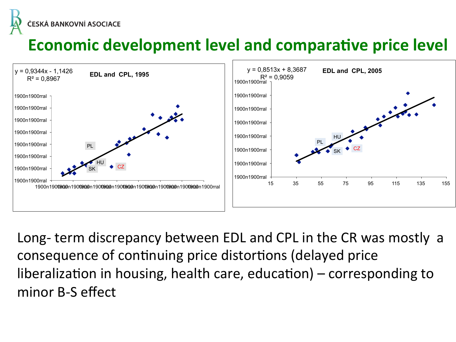ČESKÁ BANKOVNÍ ASOCIACE

# **Economic development level and comparative price level**



Long- term discrepancy between EDL and CPL in the CR was mostly a consequence of continuing price distortions (delayed price liberalization in housing, health care, education) – corresponding to minor B-S effect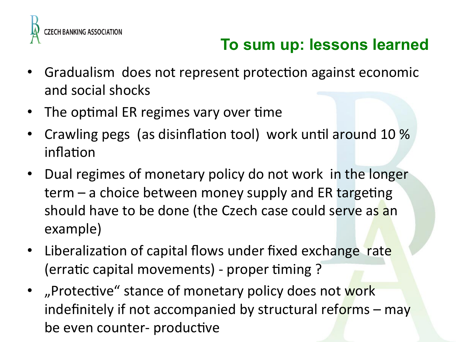

# **To sum up: lessons learned**

- Gradualism does not represent protection against economic and social shocks
- The optimal ER regimes vary over time
- Crawling pegs (as disinflation tool) work until around 10 % inflation
- Dual regimes of monetary policy do not work in the longer  $term - a$  choice between money supply and ER targeting should have to be done (the Czech case could serve as an example)
- Liberalization of capital flows under fixed exchange rate (erratic capital movements) - proper timing ?
- "Protective" stance of monetary policy does not work indefinitely if not accompanied by structural reforms  $-$  may be even counter- productive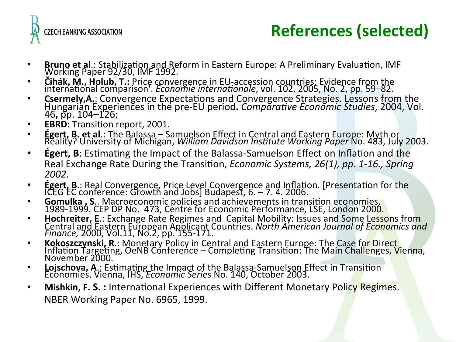

# **References (selected)**

- 
- 
- Bruno et al.: Stabilization and Reform in Eastern Europe: A Preliminary Evaluation, IMF<br>
Working Paper 92/30, IMF 1992.<br>
 Čihák, M., Holub, T.: Price convergence in EU-accession countries: Evidence from the<br>
internation
- 
- **Égert, B. et al**.: The Balassa Samuelson Effect in Central and Eastern Europe: Myth or<br>Reality? University of Michigan, *William Davidson Institute Working Paper* No. 483, July 2003.
- **Egert, B**: Estimating the Impact of the Balassa-Samuelson Effect on Inflation and the Real Exchange Rate During the Transition, *Economic Systems, 26(1), pp. 1-16., Spring 2002.*
- 
- 
- Égert, B.: Real Convergence, Price Level Convergence and Inflation. [Presentation for the<br>
ICEG EC conference: Growth and Jobs] Budapest, 6. 7. 4. 2006.<br>
 Gomulka, S.. Macroeconomic policies and achievements in transi
- 
- Lojschova, A.: Estimating the Impact of the Balassa-Samuelson Effect in Transition<br>Economies. Vienna, IHS, *Economic Series* No. 140, October 2003.
- Mishkin, F. S. : International Experiences with Different Monetary Policy Regimes. NBER Working Paper No. 6965, 1999.